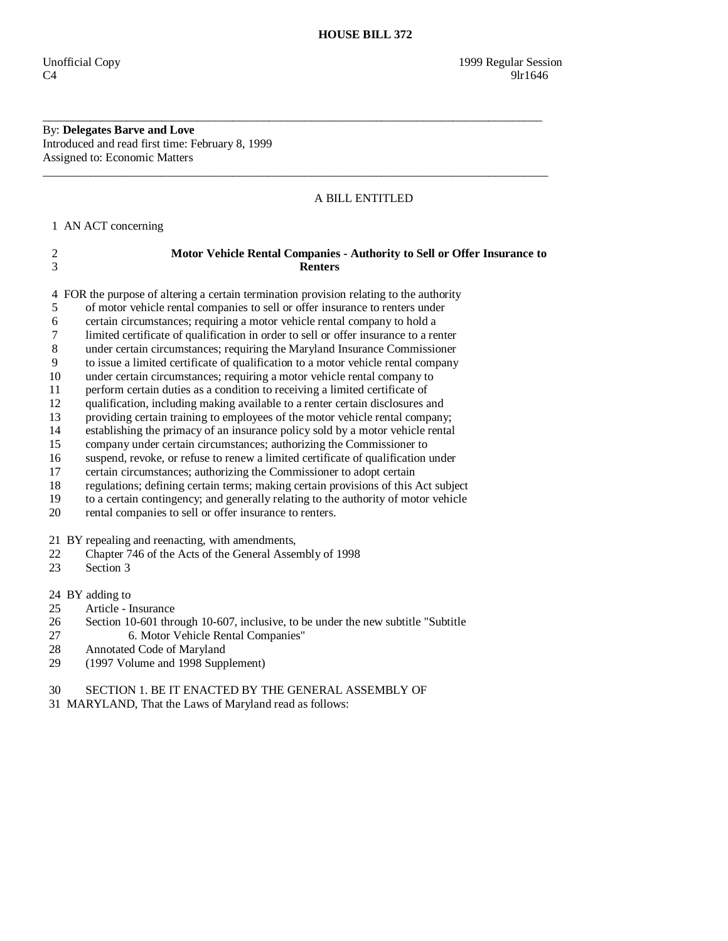By: **Delegates Barve and Love**  Introduced and read first time: February 8, 1999 Assigned to: Economic Matters

### A BILL ENTITLED

1 AN ACT concerning

## 2 **Motor Vehicle Rental Companies - Authority to Sell or Offer Insurance to**  3 **Renters**

\_\_\_\_\_\_\_\_\_\_\_\_\_\_\_\_\_\_\_\_\_\_\_\_\_\_\_\_\_\_\_\_\_\_\_\_\_\_\_\_\_\_\_\_\_\_\_\_\_\_\_\_\_\_\_\_\_\_\_\_\_\_\_\_\_\_\_\_\_\_\_\_\_\_\_\_\_\_\_\_\_\_\_\_

\_\_\_\_\_\_\_\_\_\_\_\_\_\_\_\_\_\_\_\_\_\_\_\_\_\_\_\_\_\_\_\_\_\_\_\_\_\_\_\_\_\_\_\_\_\_\_\_\_\_\_\_\_\_\_\_\_\_\_\_\_\_\_\_\_\_\_\_\_\_\_\_\_\_\_\_\_\_\_\_\_\_\_\_\_

4 FOR the purpose of altering a certain termination provision relating to the authority

5 of motor vehicle rental companies to sell or offer insurance to renters under

6 certain circumstances; requiring a motor vehicle rental company to hold a

7 limited certificate of qualification in order to sell or offer insurance to a renter

8 under certain circumstances; requiring the Maryland Insurance Commissioner

9 to issue a limited certificate of qualification to a motor vehicle rental company

10 under certain circumstances; requiring a motor vehicle rental company to

11 perform certain duties as a condition to receiving a limited certificate of

12 qualification, including making available to a renter certain disclosures and

13 providing certain training to employees of the motor vehicle rental company;

14 establishing the primacy of an insurance policy sold by a motor vehicle rental<br>15 company under certain circumstances; authorizing the Commissioner to

company under certain circumstances; authorizing the Commissioner to

16 suspend, revoke, or refuse to renew a limited certificate of qualification under

17 certain circumstances; authorizing the Commissioner to adopt certain

18 regulations; defining certain terms; making certain provisions of this Act subject

19 to a certain contingency; and generally relating to the authority of motor vehicle

20 rental companies to sell or offer insurance to renters.

21 BY repealing and reenacting, with amendments,

22 Chapter 746 of the Acts of the General Assembly of 1998<br>23 Section 3

Section 3

24 BY adding to

25 Article - Insurance

26 Section 10-601 through 10-607, inclusive, to be under the new subtitle "Subtitle

- 27 6. Motor Vehicle Rental Companies"
- 28 Annotated Code of Maryland

29 (1997 Volume and 1998 Supplement)

30 SECTION 1. BE IT ENACTED BY THE GENERAL ASSEMBLY OF

31 MARYLAND, That the Laws of Maryland read as follows: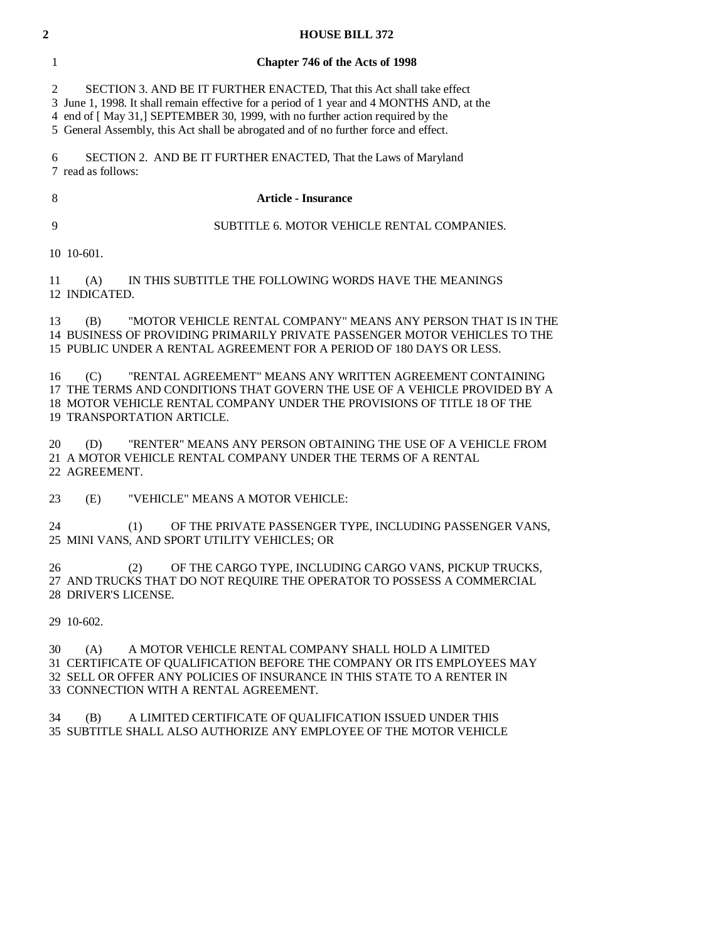| 1         | Chapter 746 of the Acts of 1998                                                                                                                                                                                                                                                                                                        |
|-----------|----------------------------------------------------------------------------------------------------------------------------------------------------------------------------------------------------------------------------------------------------------------------------------------------------------------------------------------|
| 2<br>3    | SECTION 3. AND BE IT FURTHER ENACTED, That this Act shall take effect<br>June 1, 1998. It shall remain effective for a period of 1 year and 4 MONTHS AND, at the<br>end of [May 31,] SEPTEMBER 30, 1999, with no further action required by the<br>5 General Assembly, this Act shall be abrogated and of no further force and effect. |
| 6         | SECTION 2. AND BE IT FURTHER ENACTED, That the Laws of Maryland<br>7 read as follows:                                                                                                                                                                                                                                                  |
| 8         | Article - Insurance                                                                                                                                                                                                                                                                                                                    |
| 9         | SUBTITLE 6. MOTOR VEHICLE RENTAL COMPANIES.                                                                                                                                                                                                                                                                                            |
|           | 10 10 601.                                                                                                                                                                                                                                                                                                                             |
| 11        | IN THIS SUBTITLE THE FOLLOWING WORDS HAVE THE MEANINGS<br>(A)<br>12 INDICATED.                                                                                                                                                                                                                                                         |
| 13<br>15. | "MOTOR VEHICLE RENTAL COMPANY" MEANS ANY PERSON THAT IS IN THE<br>(B)<br>BUSINESS OF PROVIDING PRIMARILY PRIVATE PASSENGER MOTOR VEHICLES TO THE<br>PUBLIC UNDER A RENTAL AGREEMENT FOR A PERIOD OF 180 DAYS OR LESS.                                                                                                                  |

 16 (C) "RENTAL AGREEMENT" MEANS ANY WRITTEN AGREEMENT CONTAINING 17 THE TERMS AND CONDITIONS THAT GOVERN THE USE OF A VEHICLE PROVIDED BY A 18 MOTOR VEHICLE RENTAL COMPANY UNDER THE PROVISIONS OF TITLE 18 OF THE 19 TRANSPORTATION ARTICLE.

 20 (D) "RENTER" MEANS ANY PERSON OBTAINING THE USE OF A VEHICLE FROM 21 A MOTOR VEHICLE RENTAL COMPANY UNDER THE TERMS OF A RENTAL 22 AGREEMENT.

23 (E) "VEHICLE" MEANS A MOTOR VEHICLE:

 24 (1) OF THE PRIVATE PASSENGER TYPE, INCLUDING PASSENGER VANS, 25 MINI VANS, AND SPORT UTILITY VEHICLES; OR

 26 (2) OF THE CARGO TYPE, INCLUDING CARGO VANS, PICKUP TRUCKS, 27 AND TRUCKS THAT DO NOT REQUIRE THE OPERATOR TO POSSESS A COMMERCIAL 28 DRIVER'S LICENSE.

29 10-602.

 30 (A) A MOTOR VEHICLE RENTAL COMPANY SHALL HOLD A LIMITED 31 CERTIFICATE OF QUALIFICATION BEFORE THE COMPANY OR ITS EMPLOYEES MAY 32 SELL OR OFFER ANY POLICIES OF INSURANCE IN THIS STATE TO A RENTER IN 33 CONNECTION WITH A RENTAL AGREEMENT.

 34 (B) A LIMITED CERTIFICATE OF QUALIFICATION ISSUED UNDER THIS 35 SUBTITLE SHALL ALSO AUTHORIZE ANY EMPLOYEE OF THE MOTOR VEHICLE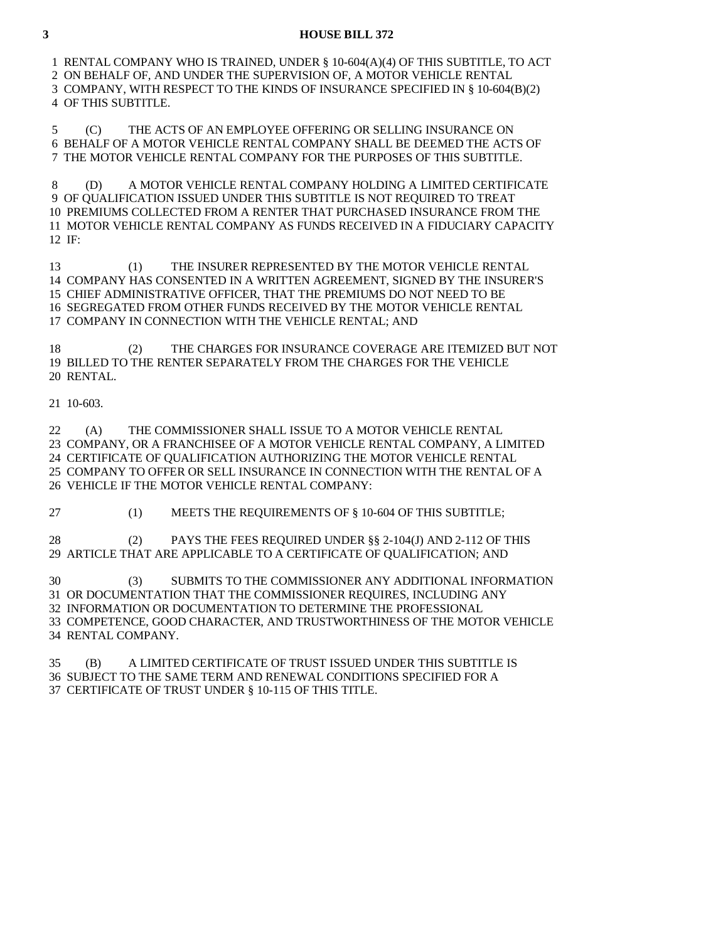1 RENTAL COMPANY WHO IS TRAINED, UNDER § 10-604(A)(4) OF THIS SUBTITLE, TO ACT 2 ON BEHALF OF, AND UNDER THE SUPERVISION OF, A MOTOR VEHICLE RENTAL 3 COMPANY, WITH RESPECT TO THE KINDS OF INSURANCE SPECIFIED IN § 10-604(B)(2) 4 OF THIS SUBTITLE.

 5 (C) THE ACTS OF AN EMPLOYEE OFFERING OR SELLING INSURANCE ON 6 BEHALF OF A MOTOR VEHICLE RENTAL COMPANY SHALL BE DEEMED THE ACTS OF 7 THE MOTOR VEHICLE RENTAL COMPANY FOR THE PURPOSES OF THIS SUBTITLE.

 8 (D) A MOTOR VEHICLE RENTAL COMPANY HOLDING A LIMITED CERTIFICATE 9 OF QUALIFICATION ISSUED UNDER THIS SUBTITLE IS NOT REQUIRED TO TREAT 10 PREMIUMS COLLECTED FROM A RENTER THAT PURCHASED INSURANCE FROM THE 11 MOTOR VEHICLE RENTAL COMPANY AS FUNDS RECEIVED IN A FIDUCIARY CAPACITY  $12$  IF

 13 (1) THE INSURER REPRESENTED BY THE MOTOR VEHICLE RENTAL 14 COMPANY HAS CONSENTED IN A WRITTEN AGREEMENT, SIGNED BY THE INSURER'S 15 CHIEF ADMINISTRATIVE OFFICER, THAT THE PREMIUMS DO NOT NEED TO BE 16 SEGREGATED FROM OTHER FUNDS RECEIVED BY THE MOTOR VEHICLE RENTAL 17 COMPANY IN CONNECTION WITH THE VEHICLE RENTAL; AND

 18 (2) THE CHARGES FOR INSURANCE COVERAGE ARE ITEMIZED BUT NOT 19 BILLED TO THE RENTER SEPARATELY FROM THE CHARGES FOR THE VEHICLE 20 RENTAL.

#### 21 10-603.

 22 (A) THE COMMISSIONER SHALL ISSUE TO A MOTOR VEHICLE RENTAL 23 COMPANY, OR A FRANCHISEE OF A MOTOR VEHICLE RENTAL COMPANY, A LIMITED 24 CERTIFICATE OF QUALIFICATION AUTHORIZING THE MOTOR VEHICLE RENTAL 25 COMPANY TO OFFER OR SELL INSURANCE IN CONNECTION WITH THE RENTAL OF A 26 VEHICLE IF THE MOTOR VEHICLE RENTAL COMPANY:

27 (1) MEETS THE REQUIREMENTS OF § 10-604 OF THIS SUBTITLE;

 28 (2) PAYS THE FEES REQUIRED UNDER §§ 2-104(J) AND 2-112 OF THIS 29 ARTICLE THAT ARE APPLICABLE TO A CERTIFICATE OF QUALIFICATION; AND

 30 (3) SUBMITS TO THE COMMISSIONER ANY ADDITIONAL INFORMATION 31 OR DOCUMENTATION THAT THE COMMISSIONER REQUIRES, INCLUDING ANY 32 INFORMATION OR DOCUMENTATION TO DETERMINE THE PROFESSIONAL 33 COMPETENCE, GOOD CHARACTER, AND TRUSTWORTHINESS OF THE MOTOR VEHICLE 34 RENTAL COMPANY.

 35 (B) A LIMITED CERTIFICATE OF TRUST ISSUED UNDER THIS SUBTITLE IS 36 SUBJECT TO THE SAME TERM AND RENEWAL CONDITIONS SPECIFIED FOR A 37 CERTIFICATE OF TRUST UNDER § 10-115 OF THIS TITLE.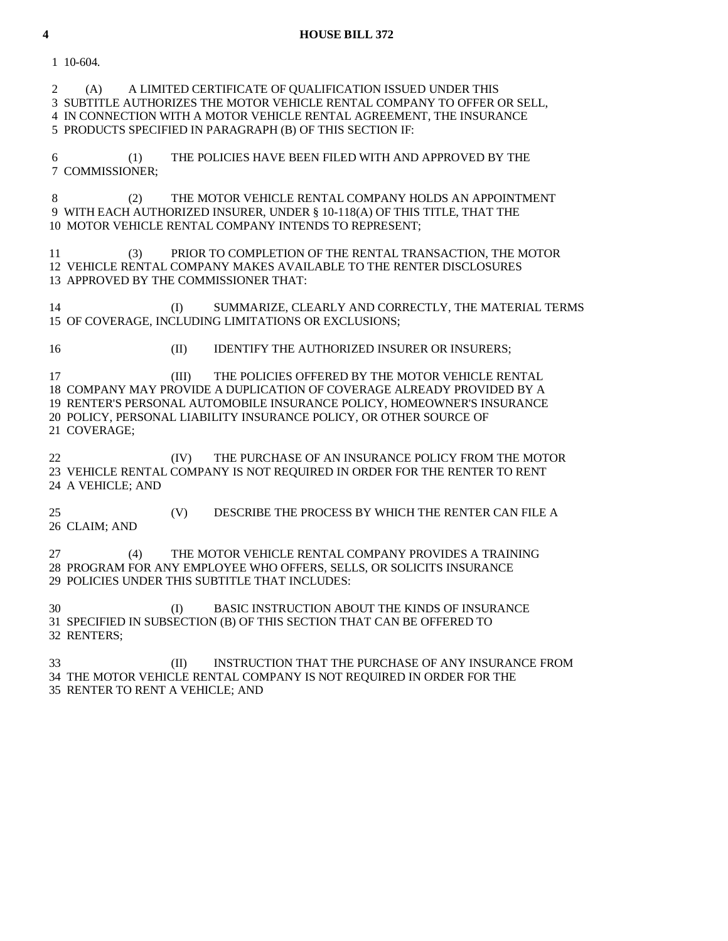1 10-604. 2 (A) A LIMITED CERTIFICATE OF QUALIFICATION ISSUED UNDER THIS 3 SUBTITLE AUTHORIZES THE MOTOR VEHICLE RENTAL COMPANY TO OFFER OR SELL, 4 IN CONNECTION WITH A MOTOR VEHICLE RENTAL AGREEMENT, THE INSURANCE 5 PRODUCTS SPECIFIED IN PARAGRAPH (B) OF THIS SECTION IF: 6 (1) THE POLICIES HAVE BEEN FILED WITH AND APPROVED BY THE 7 COMMISSIONER; 8 (2) THE MOTOR VEHICLE RENTAL COMPANY HOLDS AN APPOINTMENT 9 WITH EACH AUTHORIZED INSURER, UNDER § 10-118(A) OF THIS TITLE, THAT THE 10 MOTOR VEHICLE RENTAL COMPANY INTENDS TO REPRESENT; 11 (3) PRIOR TO COMPLETION OF THE RENTAL TRANSACTION, THE MOTOR 12 VEHICLE RENTAL COMPANY MAKES AVAILABLE TO THE RENTER DISCLOSURES 13 APPROVED BY THE COMMISSIONER THAT: 14 (I) SUMMARIZE, CLEARLY AND CORRECTLY, THE MATERIAL TERMS 15 OF COVERAGE, INCLUDING LIMITATIONS OR EXCLUSIONS; 16 (II) IDENTIFY THE AUTHORIZED INSURER OR INSURERS; 17 (III) THE POLICIES OFFERED BY THE MOTOR VEHICLE RENTAL 18 COMPANY MAY PROVIDE A DUPLICATION OF COVERAGE ALREADY PROVIDED BY A 19 RENTER'S PERSONAL AUTOMOBILE INSURANCE POLICY, HOMEOWNER'S INSURANCE 20 POLICY, PERSONAL LIABILITY INSURANCE POLICY, OR OTHER SOURCE OF 21 COVERAGE; 22 **EXECUTE:** IV THE PURCHASE OF AN INSURANCE POLICY FROM THE MOTOR 23 VEHICLE RENTAL COMPANY IS NOT REQUIRED IN ORDER FOR THE RENTER TO RENT 24 A VEHICLE; AND 25 (V) DESCRIBE THE PROCESS BY WHICH THE RENTER CAN FILE A 26 CLAIM; AND 27 (4) THE MOTOR VEHICLE RENTAL COMPANY PROVIDES A TRAINING 28 PROGRAM FOR ANY EMPLOYEE WHO OFFERS, SELLS, OR SOLICITS INSURANCE 29 POLICIES UNDER THIS SUBTITLE THAT INCLUDES: 30 (I) BASIC INSTRUCTION ABOUT THE KINDS OF INSURANCE 31 SPECIFIED IN SUBSECTION (B) OF THIS SECTION THAT CAN BE OFFERED TO 32 RENTERS; 33 (II) INSTRUCTION THAT THE PURCHASE OF ANY INSURANCE FROM 34 THE MOTOR VEHICLE RENTAL COMPANY IS NOT REQUIRED IN ORDER FOR THE

35 RENTER TO RENT A VEHICLE; AND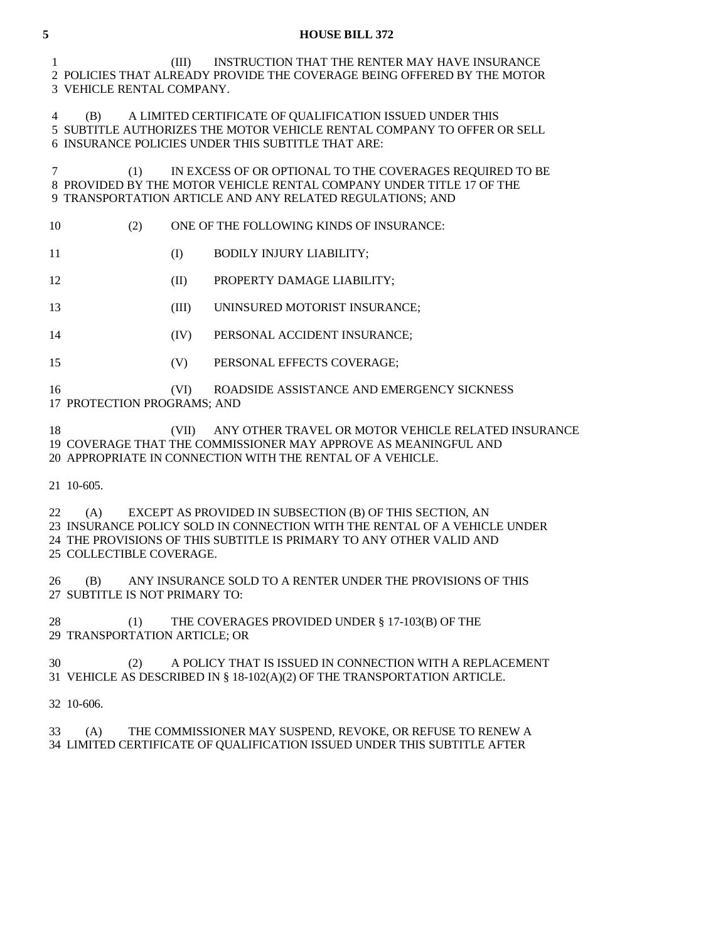1 (III) INSTRUCTION THAT THE RENTER MAY HAVE INSURANCE 2 POLICIES THAT ALREADY PROVIDE THE COVERAGE BEING OFFERED BY THE MOTOR 3 VEHICLE RENTAL COMPANY.

 4 (B) A LIMITED CERTIFICATE OF QUALIFICATION ISSUED UNDER THIS 5 SUBTITLE AUTHORIZES THE MOTOR VEHICLE RENTAL COMPANY TO OFFER OR SELL 6 INSURANCE POLICIES UNDER THIS SUBTITLE THAT ARE:

 7 (1) IN EXCESS OF OR OPTIONAL TO THE COVERAGES REQUIRED TO BE 8 PROVIDED BY THE MOTOR VEHICLE RENTAL COMPANY UNDER TITLE 17 OF THE 9 TRANSPORTATION ARTICLE AND ANY RELATED REGULATIONS; AND

10 (2) ONE OF THE FOLLOWING KINDS OF INSURANCE:

11 (I) BODILY INJURY LIABILITY;

12 **(II) PROPERTY DAMAGE LIABILITY;** 

13 (III) UNINSURED MOTORIST INSURANCE;

- 14 (IV) PERSONAL ACCIDENT INSURANCE;
- 15 (V) PERSONAL EFFECTS COVERAGE;

16 (VI) ROADSIDE ASSISTANCE AND EMERGENCY SICKNESS

17 PROTECTION PROGRAMS; AND

 18 (VII) ANY OTHER TRAVEL OR MOTOR VEHICLE RELATED INSURANCE 19 COVERAGE THAT THE COMMISSIONER MAY APPROVE AS MEANINGFUL AND 20 APPROPRIATE IN CONNECTION WITH THE RENTAL OF A VEHICLE.

21 10-605.

 22 (A) EXCEPT AS PROVIDED IN SUBSECTION (B) OF THIS SECTION, AN 23 INSURANCE POLICY SOLD IN CONNECTION WITH THE RENTAL OF A VEHICLE UNDER 24 THE PROVISIONS OF THIS SUBTITLE IS PRIMARY TO ANY OTHER VALID AND 25 COLLECTIBLE COVERAGE.

 26 (B) ANY INSURANCE SOLD TO A RENTER UNDER THE PROVISIONS OF THIS 27 SUBTITLE IS NOT PRIMARY TO:

28 (1) THE COVERAGES PROVIDED UNDER § 17-103(B) OF THE 29 TRANSPORTATION ARTICLE; OR

 30 (2) A POLICY THAT IS ISSUED IN CONNECTION WITH A REPLACEMENT 31 VEHICLE AS DESCRIBED IN § 18-102(A)(2) OF THE TRANSPORTATION ARTICLE.

32 10-606.

 33 (A) THE COMMISSIONER MAY SUSPEND, REVOKE, OR REFUSE TO RENEW A 34 LIMITED CERTIFICATE OF QUALIFICATION ISSUED UNDER THIS SUBTITLE AFTER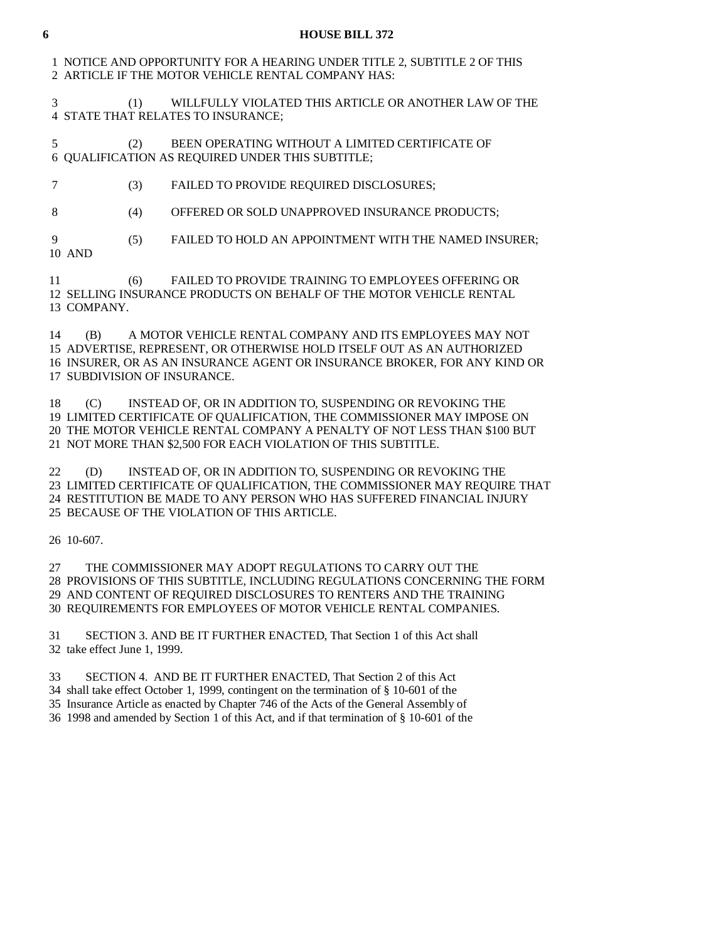1 NOTICE AND OPPORTUNITY FOR A HEARING UNDER TITLE 2, SUBTITLE 2 OF THIS 2 ARTICLE IF THE MOTOR VEHICLE RENTAL COMPANY HAS:

 3 (1) WILLFULLY VIOLATED THIS ARTICLE OR ANOTHER LAW OF THE 4 STATE THAT RELATES TO INSURANCE;

 5 (2) BEEN OPERATING WITHOUT A LIMITED CERTIFICATE OF 6 QUALIFICATION AS REQUIRED UNDER THIS SUBTITLE;

7 (3) FAILED TO PROVIDE REQUIRED DISCLOSURES;

8 (4) OFFERED OR SOLD UNAPPROVED INSURANCE PRODUCTS;

 9 (5) FAILED TO HOLD AN APPOINTMENT WITH THE NAMED INSURER; 10 AND

 11 (6) FAILED TO PROVIDE TRAINING TO EMPLOYEES OFFERING OR 12 SELLING INSURANCE PRODUCTS ON BEHALF OF THE MOTOR VEHICLE RENTAL 13 COMPANY.

 14 (B) A MOTOR VEHICLE RENTAL COMPANY AND ITS EMPLOYEES MAY NOT 15 ADVERTISE, REPRESENT, OR OTHERWISE HOLD ITSELF OUT AS AN AUTHORIZED 16 INSURER, OR AS AN INSURANCE AGENT OR INSURANCE BROKER, FOR ANY KIND OR 17 SUBDIVISION OF INSURANCE.

 18 (C) INSTEAD OF, OR IN ADDITION TO, SUSPENDING OR REVOKING THE 19 LIMITED CERTIFICATE OF QUALIFICATION, THE COMMISSIONER MAY IMPOSE ON 20 THE MOTOR VEHICLE RENTAL COMPANY A PENALTY OF NOT LESS THAN \$100 BUT 21 NOT MORE THAN \$2,500 FOR EACH VIOLATION OF THIS SUBTITLE.

 22 (D) INSTEAD OF, OR IN ADDITION TO, SUSPENDING OR REVOKING THE 23 LIMITED CERTIFICATE OF QUALIFICATION, THE COMMISSIONER MAY REQUIRE THAT 24 RESTITUTION BE MADE TO ANY PERSON WHO HAS SUFFERED FINANCIAL INJURY 25 BECAUSE OF THE VIOLATION OF THIS ARTICLE.

26 10-607.

 27 THE COMMISSIONER MAY ADOPT REGULATIONS TO CARRY OUT THE 28 PROVISIONS OF THIS SUBTITLE, INCLUDING REGULATIONS CONCERNING THE FORM 29 AND CONTENT OF REQUIRED DISCLOSURES TO RENTERS AND THE TRAINING 30 REQUIREMENTS FOR EMPLOYEES OF MOTOR VEHICLE RENTAL COMPANIES.

 31 SECTION 3. AND BE IT FURTHER ENACTED, That Section 1 of this Act shall 32 take effect June 1, 1999.

33 SECTION 4. AND BE IT FURTHER ENACTED, That Section 2 of this Act

34 shall take effect October 1, 1999, contingent on the termination of § 10-601 of the

35 Insurance Article as enacted by Chapter 746 of the Acts of the General Assembly of

36 1998 and amended by Section 1 of this Act, and if that termination of § 10-601 of the